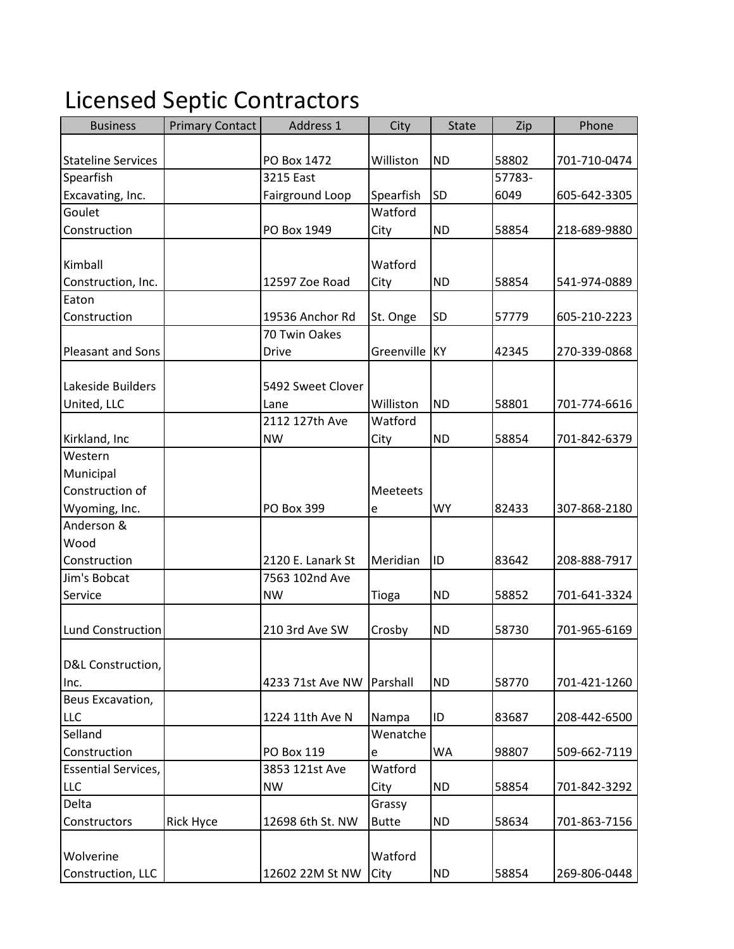## Licensed Septic Contractors

| <b>Business</b>            | <b>Primary Contact</b> | Address 1         | City          | <b>State</b> | Zip    | Phone        |
|----------------------------|------------------------|-------------------|---------------|--------------|--------|--------------|
|                            |                        |                   |               |              |        |              |
| <b>Stateline Services</b>  |                        | PO Box 1472       | Williston     | <b>ND</b>    | 58802  | 701-710-0474 |
| Spearfish                  |                        | 3215 East         |               |              | 57783- |              |
| Excavating, Inc.           |                        | Fairground Loop   | Spearfish     | SD           | 6049   | 605-642-3305 |
| Goulet                     |                        |                   | Watford       |              |        |              |
| Construction               |                        | PO Box 1949       | City          | <b>ND</b>    | 58854  | 218-689-9880 |
|                            |                        |                   |               |              |        |              |
| Kimball                    |                        |                   | Watford       |              |        |              |
| Construction, Inc.         |                        | 12597 Zoe Road    | City          | <b>ND</b>    | 58854  | 541-974-0889 |
| Eaton                      |                        |                   |               |              |        |              |
| Construction               |                        | 19536 Anchor Rd   | St. Onge      | SD           | 57779  | 605-210-2223 |
|                            |                        | 70 Twin Oakes     |               |              |        |              |
| Pleasant and Sons          |                        | <b>Drive</b>      | Greenville KY |              | 42345  | 270-339-0868 |
|                            |                        |                   |               |              |        |              |
| Lakeside Builders          |                        | 5492 Sweet Clover |               |              |        |              |
| United, LLC                |                        | Lane              | Williston     | <b>ND</b>    | 58801  | 701-774-6616 |
|                            |                        | 2112 127th Ave    | Watford       |              |        |              |
| Kirkland, Inc              |                        | <b>NW</b>         | City          | <b>ND</b>    | 58854  | 701-842-6379 |
| Western                    |                        |                   |               |              |        |              |
| Municipal                  |                        |                   |               |              |        |              |
| Construction of            |                        |                   | Meeteets      |              |        |              |
| Wyoming, Inc.              |                        | PO Box 399        | e             | <b>WY</b>    | 82433  | 307-868-2180 |
| Anderson &                 |                        |                   |               |              |        |              |
| Wood                       |                        |                   |               |              |        |              |
| Construction               |                        | 2120 E. Lanark St | Meridian      | ID           | 83642  | 208-888-7917 |
| Jim's Bobcat               |                        | 7563 102nd Ave    |               |              |        |              |
| Service                    |                        | <b>NW</b>         | Tioga         | <b>ND</b>    | 58852  | 701-641-3324 |
|                            |                        |                   |               |              |        |              |
| <b>Lund Construction</b>   |                        | 210 3rd Ave SW    | Crosby        | <b>ND</b>    | 58730  | 701-965-6169 |
|                            |                        |                   |               |              |        |              |
| D&L Construction,          |                        | 4233 71st Ave NW  |               | <b>ND</b>    | 58770  |              |
| Inc.<br>Beus Excavation,   |                        |                   | Parshall      |              |        | 701-421-1260 |
| <b>LLC</b>                 |                        | 1224 11th Ave N   | Nampa         | ID           | 83687  | 208-442-6500 |
| Selland                    |                        |                   | Wenatche      |              |        |              |
| Construction               |                        | PO Box 119        |               | WA           | 98807  | 509-662-7119 |
| <b>Essential Services,</b> |                        | 3853 121st Ave    | e<br>Watford  |              |        |              |
| <b>LLC</b>                 |                        | <b>NW</b>         | City          | <b>ND</b>    | 58854  | 701-842-3292 |
| Delta                      |                        |                   | Grassy        |              |        |              |
| Constructors               | <b>Rick Hyce</b>       | 12698 6th St. NW  | <b>Butte</b>  | <b>ND</b>    | 58634  | 701-863-7156 |
|                            |                        |                   |               |              |        |              |
| Wolverine                  |                        |                   | Watford       |              |        |              |
| Construction, LLC          |                        | 12602 22M St NW   | City          | <b>ND</b>    | 58854  | 269-806-0448 |
|                            |                        |                   |               |              |        |              |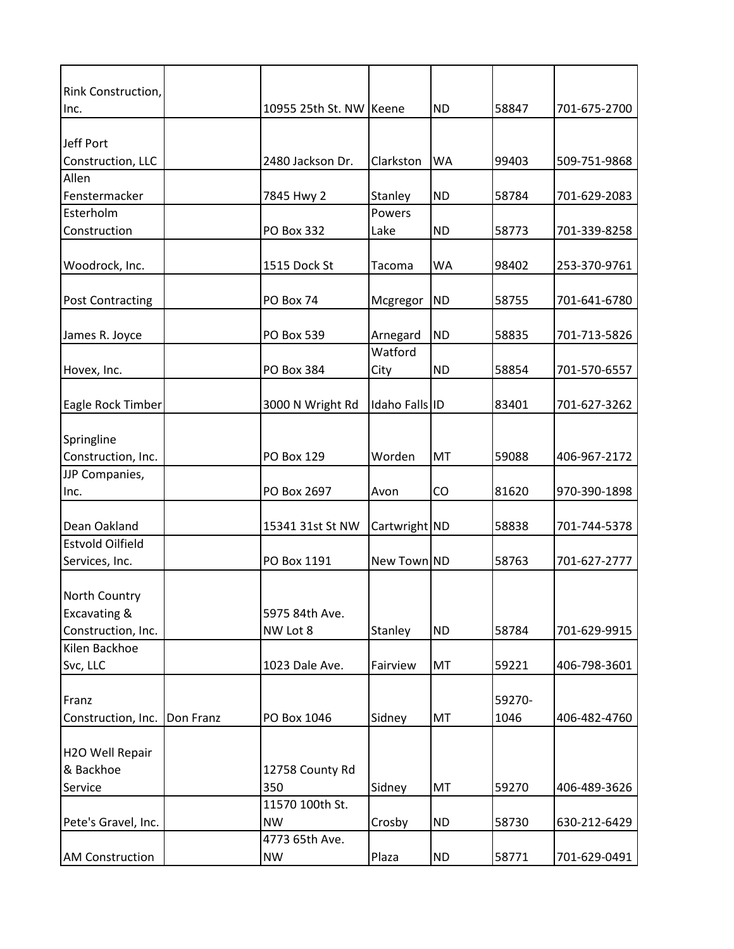| Rink Construction,                   |           |                         |                |           |        |              |
|--------------------------------------|-----------|-------------------------|----------------|-----------|--------|--------------|
| Inc.                                 |           | 10955 25th St. NW Keene |                | <b>ND</b> | 58847  | 701-675-2700 |
|                                      |           |                         |                |           |        |              |
| Jeff Port                            |           |                         |                |           |        |              |
| Construction, LLC                    |           | 2480 Jackson Dr.        | Clarkston      | <b>WA</b> | 99403  | 509-751-9868 |
| Allen<br>Fenstermacker               |           | 7845 Hwy 2              | Stanley        | <b>ND</b> | 58784  | 701-629-2083 |
| Esterholm                            |           |                         | Powers         |           |        |              |
| Construction                         |           | PO Box 332              | Lake           | <b>ND</b> | 58773  | 701-339-8258 |
|                                      |           |                         |                |           |        |              |
| Woodrock, Inc.                       |           | 1515 Dock St            | Tacoma         | <b>WA</b> | 98402  | 253-370-9761 |
| <b>Post Contracting</b>              |           | PO Box 74               | Mcgregor       | <b>ND</b> | 58755  | 701-641-6780 |
|                                      |           |                         |                |           |        |              |
| James R. Joyce                       |           | PO Box 539              | Arnegard       | <b>ND</b> | 58835  | 701-713-5826 |
|                                      |           |                         | Watford        |           |        |              |
| Hovex, Inc.                          |           | PO Box 384              | City           | <b>ND</b> | 58854  | 701-570-6557 |
|                                      |           |                         |                |           |        |              |
| Eagle Rock Timber                    |           | 3000 N Wright Rd        | Idaho Falls ID |           | 83401  | 701-627-3262 |
|                                      |           |                         |                |           |        |              |
| Springline                           |           |                         |                |           |        |              |
| Construction, Inc.<br>JJP Companies, |           | PO Box 129              | Worden         | MT        | 59088  | 406-967-2172 |
| Inc.                                 |           | PO Box 2697             | Avon           | CO        | 81620  | 970-390-1898 |
|                                      |           |                         |                |           |        |              |
| Dean Oakland                         |           | 15341 31st St NW        | Cartwright ND  |           | 58838  | 701-744-5378 |
| <b>Estvold Oilfield</b>              |           |                         |                |           |        |              |
| Services, Inc.                       |           | PO Box 1191             | New Town ND    |           | 58763  | 701-627-2777 |
|                                      |           |                         |                |           |        |              |
| <b>North Country</b>                 |           |                         |                |           |        |              |
| Excavating &                         |           | 5975 84th Ave.          |                |           |        |              |
| Construction, Inc.                   |           | NW Lot 8                | Stanley        | <b>ND</b> | 58784  | 701-629-9915 |
| Kilen Backhoe                        |           |                         |                |           |        |              |
| Svc, LLC                             |           | 1023 Dale Ave.          | Fairview       | MT        | 59221  | 406-798-3601 |
| Franz                                |           |                         |                |           | 59270- |              |
| Construction, Inc.                   | Don Franz | PO Box 1046             | Sidney         | MT        | 1046   | 406-482-4760 |
|                                      |           |                         |                |           |        |              |
| H2O Well Repair                      |           |                         |                |           |        |              |
| & Backhoe                            |           | 12758 County Rd         |                |           |        |              |
| Service                              |           | 350                     | Sidney         | MT        | 59270  | 406-489-3626 |
|                                      |           | 11570 100th St.         |                |           |        |              |
| Pete's Gravel, Inc.                  |           | <b>NW</b>               | Crosby         | <b>ND</b> | 58730  | 630-212-6429 |
|                                      |           | 4773 65th Ave.          |                |           |        |              |
| <b>AM Construction</b>               |           | <b>NW</b>               | Plaza          | <b>ND</b> | 58771  | 701-629-0491 |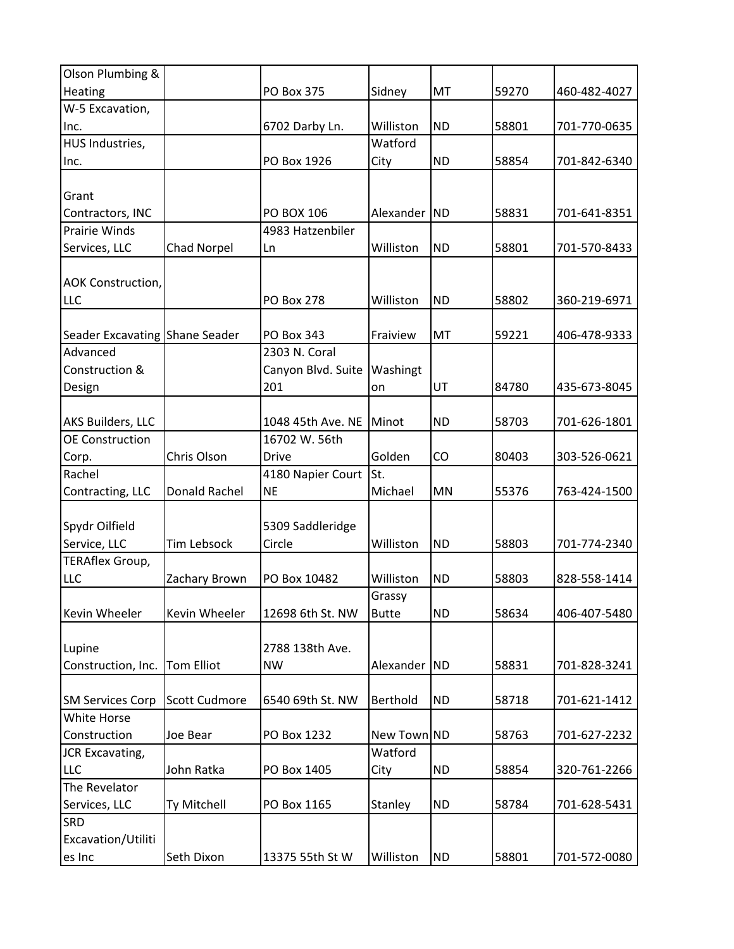| Olson Plumbing &               |                      |                    |              |           |       |              |
|--------------------------------|----------------------|--------------------|--------------|-----------|-------|--------------|
| Heating                        |                      | PO Box 375         | Sidney       | MT        | 59270 | 460-482-4027 |
| W-5 Excavation,                |                      |                    |              |           |       |              |
| Inc.                           |                      | 6702 Darby Ln.     | Williston    | <b>ND</b> | 58801 | 701-770-0635 |
| HUS Industries,                |                      |                    | Watford      |           |       |              |
| Inc.                           |                      | PO Box 1926        | City         | <b>ND</b> | 58854 | 701-842-6340 |
|                                |                      |                    |              |           |       |              |
| Grant                          |                      |                    |              |           |       |              |
| Contractors, INC               |                      | <b>PO BOX 106</b>  | Alexander ND |           | 58831 | 701-641-8351 |
| <b>Prairie Winds</b>           |                      | 4983 Hatzenbiler   |              |           |       |              |
| Services, LLC                  | <b>Chad Norpel</b>   | Ln                 | Williston    | <b>ND</b> | 58801 | 701-570-8433 |
|                                |                      |                    |              |           |       |              |
| <b>AOK Construction,</b>       |                      |                    |              |           |       |              |
| <b>LLC</b>                     |                      | <b>PO Box 278</b>  | Williston    | <b>ND</b> | 58802 | 360-219-6971 |
|                                |                      |                    |              |           |       |              |
| Seader Excavating Shane Seader |                      | PO Box 343         | Fraiview     | MT        | 59221 | 406-478-9333 |
| Advanced                       |                      | 2303 N. Coral      |              |           |       |              |
| Construction &                 |                      | Canyon Blvd. Suite | Washingt     |           |       |              |
| Design                         |                      | 201                | on           | UT        | 84780 | 435-673-8045 |
|                                |                      |                    |              |           |       |              |
| AKS Builders, LLC              |                      | 1048 45th Ave. NE  | Minot        | <b>ND</b> | 58703 | 701-626-1801 |
| <b>OE Construction</b>         |                      | 16702 W. 56th      |              |           |       |              |
| Corp.                          | Chris Olson          | <b>Drive</b>       | Golden       | CO        | 80403 | 303-526-0621 |
| Rachel                         |                      | 4180 Napier Court  | St.          |           |       |              |
| Contracting, LLC               | Donald Rachel        | <b>NE</b>          | Michael      | <b>MN</b> | 55376 | 763-424-1500 |
|                                |                      |                    |              |           |       |              |
| Spydr Oilfield                 |                      | 5309 Saddleridge   |              |           |       |              |
| Service, LLC                   | <b>Tim Lebsock</b>   | Circle             | Williston    | <b>ND</b> | 58803 | 701-774-2340 |
| <b>TERAflex Group,</b>         |                      |                    |              |           |       |              |
| <b>LLC</b>                     | Zachary Brown        | PO Box 10482       | Williston    | <b>ND</b> | 58803 | 828-558-1414 |
|                                |                      |                    | Grassy       |           |       |              |
| Kevin Wheeler                  | Kevin Wheeler        | 12698 6th St. NW   | <b>Butte</b> | <b>ND</b> | 58634 | 406-407-5480 |
|                                |                      |                    |              |           |       |              |
| Lupine                         |                      | 2788 138th Ave.    |              |           |       |              |
| Construction, Inc.             | <b>Tom Elliot</b>    | <b>NW</b>          | Alexander    | <b>ND</b> | 58831 | 701-828-3241 |
|                                |                      |                    |              |           |       |              |
| <b>SM Services Corp</b>        | <b>Scott Cudmore</b> | 6540 69th St. NW   | Berthold     | <b>ND</b> | 58718 | 701-621-1412 |
| White Horse                    |                      |                    |              |           |       |              |
| Construction                   | Joe Bear             | PO Box 1232        | New Town ND  |           | 58763 | 701-627-2232 |
| <b>JCR Excavating,</b>         |                      |                    | Watford      |           |       |              |
| <b>LLC</b>                     | John Ratka           | PO Box 1405        | City         | <b>ND</b> | 58854 | 320-761-2266 |
| The Revelator                  |                      |                    |              |           |       |              |
| Services, LLC                  | Ty Mitchell          | PO Box 1165        | Stanley      | <b>ND</b> | 58784 | 701-628-5431 |
| <b>SRD</b>                     |                      |                    |              |           |       |              |
| Excavation/Utiliti             |                      |                    |              |           |       |              |
|                                |                      |                    |              |           |       |              |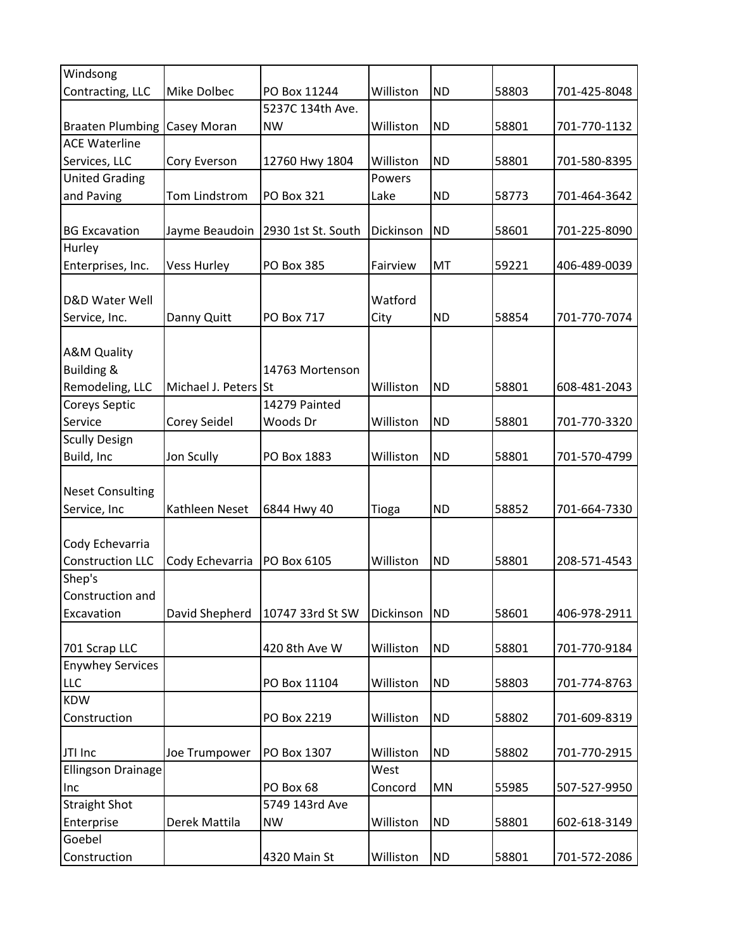| Windsong                |                      |                    |           |           |       |              |
|-------------------------|----------------------|--------------------|-----------|-----------|-------|--------------|
| Contracting, LLC        | Mike Dolbec          | PO Box 11244       | Williston | <b>ND</b> | 58803 | 701-425-8048 |
|                         |                      | 5237C 134th Ave.   |           |           |       |              |
| <b>Braaten Plumbing</b> | Casey Moran          | <b>NW</b>          | Williston | <b>ND</b> | 58801 | 701-770-1132 |
| <b>ACE Waterline</b>    |                      |                    |           |           |       |              |
| Services, LLC           | Cory Everson         | 12760 Hwy 1804     | Williston | <b>ND</b> | 58801 | 701-580-8395 |
| <b>United Grading</b>   |                      |                    | Powers    |           |       |              |
| and Paving              | Tom Lindstrom        | PO Box 321         | Lake      | <b>ND</b> | 58773 | 701-464-3642 |
|                         |                      |                    |           |           |       |              |
| <b>BG Excavation</b>    | Jayme Beaudoin       | 2930 1st St. South | Dickinson | <b>ND</b> | 58601 | 701-225-8090 |
| Hurley                  |                      |                    |           |           |       |              |
| Enterprises, Inc.       | <b>Vess Hurley</b>   | PO Box 385         | Fairview  | MT        | 59221 | 406-489-0039 |
|                         |                      |                    |           |           |       |              |
| D&D Water Well          |                      |                    | Watford   |           |       |              |
| Service, Inc.           | Danny Quitt          | <b>PO Box 717</b>  | City      | <b>ND</b> | 58854 | 701-770-7074 |
|                         |                      |                    |           |           |       |              |
| <b>A&amp;M Quality</b>  |                      |                    |           |           |       |              |
| <b>Building &amp;</b>   |                      | 14763 Mortenson    |           |           |       |              |
| Remodeling, LLC         | Michael J. Peters St |                    | Williston | <b>ND</b> | 58801 | 608-481-2043 |
| Coreys Septic           |                      | 14279 Painted      |           |           |       |              |
| Service                 | Corey Seidel         | Woods Dr           | Williston | <b>ND</b> | 58801 | 701-770-3320 |
| <b>Scully Design</b>    |                      |                    |           |           |       |              |
| Build, Inc              | Jon Scully           | PO Box 1883        | Williston | <b>ND</b> | 58801 | 701-570-4799 |
|                         |                      |                    |           |           |       |              |
| <b>Neset Consulting</b> |                      |                    |           |           |       |              |
| Service, Inc            | Kathleen Neset       | 6844 Hwy 40        | Tioga     | <b>ND</b> | 58852 | 701-664-7330 |
|                         |                      |                    |           |           |       |              |
| Cody Echevarria         |                      |                    |           |           |       |              |
| <b>Construction LLC</b> | Cody Echevarria      | PO Box 6105        | Williston | <b>ND</b> | 58801 | 208-571-4543 |
| Shep's                  |                      |                    |           |           |       |              |
| Construction and        |                      |                    |           |           |       |              |
| Excavation              | David Shepherd       | 10747 33rd St SW   | Dickinson | <b>ND</b> | 58601 | 406-978-2911 |
|                         |                      |                    |           |           |       |              |
| 701 Scrap LLC           |                      | 420 8th Ave W      | Williston | <b>ND</b> | 58801 | 701-770-9184 |
| <b>Enywhey Services</b> |                      |                    |           |           |       |              |
| <b>LLC</b>              |                      | PO Box 11104       | Williston | <b>ND</b> | 58803 | 701-774-8763 |
| <b>KDW</b>              |                      |                    |           |           |       |              |
| Construction            |                      | PO Box 2219        | Williston | <b>ND</b> | 58802 | 701-609-8319 |
|                         |                      |                    |           |           |       |              |
| JTI Inc                 | Joe Trumpower        | PO Box 1307        | Williston | <b>ND</b> | 58802 | 701-770-2915 |
| Ellingson Drainage      |                      |                    | West      |           |       |              |
| Inc                     |                      | PO Box 68          | Concord   | MN        | 55985 | 507-527-9950 |
| <b>Straight Shot</b>    |                      | 5749 143rd Ave     |           |           |       |              |
| Enterprise              | Derek Mattila        | <b>NW</b>          | Williston | <b>ND</b> | 58801 | 602-618-3149 |
| Goebel                  |                      |                    |           |           |       |              |
| Construction            |                      | 4320 Main St       | Williston | <b>ND</b> | 58801 | 701-572-2086 |